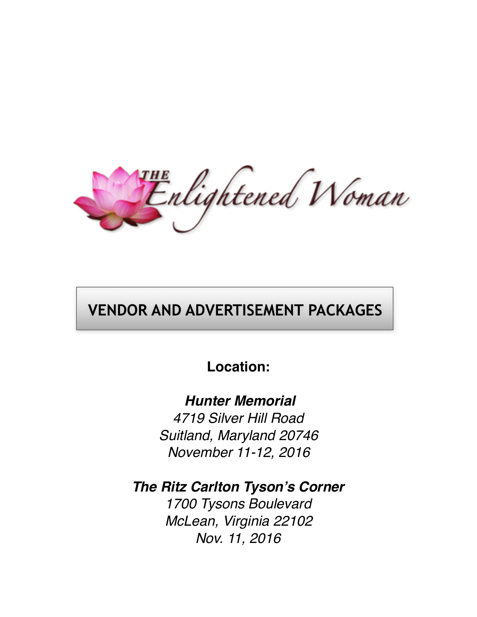Enlightened Woman

# **VENDOR AND ADVERTISEMENT PACKAGES**

# **Location:**

 *Hunter Memorial 4719 Silver Hill Road Suitland, Maryland 20746*

*November 11-12, 2016*

*The Ritz Carlton Tyson's Corner*

*1700 Tysons Boulevard McLean, Virginia 22102 Nov. 11, 2016*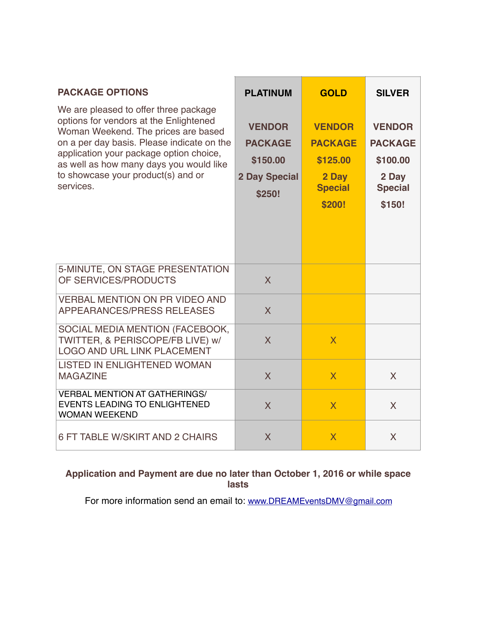| <b>PACKAGE OPTIONS</b><br>We are pleased to offer three package<br>options for vendors at the Enlightened<br>Woman Weekend. The prices are based<br>on a per day basis. Please indicate on the<br>application your package option choice,<br>as well as how many days you would like<br>to showcase your product(s) and or<br>services. | <b>PLATINUM</b><br><b>VENDOR</b><br><b>PACKAGE</b><br>\$150.00<br><b>2 Day Special</b><br>\$250! | <b>GOLD</b><br><b>VENDOR</b><br><b>PACKAGE</b><br>\$125.00<br>2 Day<br><b>Special</b><br>\$200! | <b>SILVER</b><br><b>VENDOR</b><br><b>PACKAGE</b><br>\$100.00<br>2 Day<br><b>Special</b><br>\$150! |
|-----------------------------------------------------------------------------------------------------------------------------------------------------------------------------------------------------------------------------------------------------------------------------------------------------------------------------------------|--------------------------------------------------------------------------------------------------|-------------------------------------------------------------------------------------------------|---------------------------------------------------------------------------------------------------|
| 5-MINUTE, ON STAGE PRESENTATION<br>OF SERVICES/PRODUCTS<br><b>VERBAL MENTION ON PR VIDEO AND</b>                                                                                                                                                                                                                                        | $\overline{\mathsf{X}}$                                                                          |                                                                                                 |                                                                                                   |
| APPEARANCES/PRESS RELEASES<br>SOCIAL MEDIA MENTION (FACEBOOK,<br>TWITTER, & PERISCOPE/FB LIVE) w/<br><b>LOGO AND URL LINK PLACEMENT</b>                                                                                                                                                                                                 | $\overline{\mathsf{X}}$<br>$\overline{\mathsf{X}}$                                               | $\overline{\mathsf{X}}$                                                                         |                                                                                                   |
| <b>LISTED IN ENLIGHTENED WOMAN</b><br><b>MAGAZINE</b><br><b>VERBAL MENTION AT GATHERINGS/</b><br><b>EVENTS LEADING TO ENLIGHTENED</b>                                                                                                                                                                                                   | $\overline{\mathsf{X}}$<br>$\overline{\mathsf{X}}$                                               | $\overline{\mathsf{X}}$<br>$\overline{\mathsf{X}}$                                              | X<br>X                                                                                            |
| <b>WOMAN WEEKEND</b><br>6 FT TABLE W/SKIRT AND 2 CHAIRS                                                                                                                                                                                                                                                                                 | $\overline{\mathsf{X}}$                                                                          | $\overline{\mathsf{X}}$                                                                         | X                                                                                                 |

#### **Application and Payment are due no later than October 1, 2016 or while space lasts**

For more information send an email to: [www.DREAMEventsDMV@gmail.com](mailto:www.DREAMEventsDMV@gmail.com)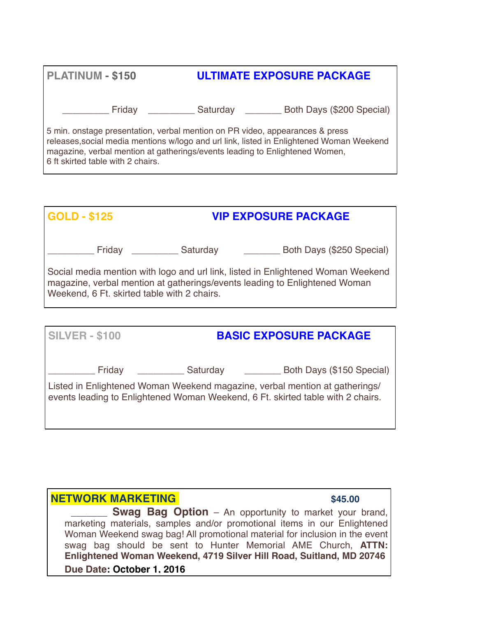| <b>PLATINUM - \$150</b>                                                                                                                                                                                                                                                                      | <b>ULTIMATE EXPOSURE PACKAGE</b> |                           |
|----------------------------------------------------------------------------------------------------------------------------------------------------------------------------------------------------------------------------------------------------------------------------------------------|----------------------------------|---------------------------|
| Friday                                                                                                                                                                                                                                                                                       | Saturday                         | Both Days (\$200 Special) |
| 5 min. onstage presentation, verbal mention on PR video, appearances & press<br>releases, social media mentions w/logo and url link, listed in Enlightened Woman Weekend<br>magazine, verbal mention at gatherings/events leading to Enlightened Women,<br>6 ft skirted table with 2 chairs. |                                  |                           |

| GOLD - \$125 |                                             | <b>VIP EXPOSURE PACKAGE</b>                                                                                                                                    |  |
|--------------|---------------------------------------------|----------------------------------------------------------------------------------------------------------------------------------------------------------------|--|
| Friday       | Saturday                                    | Both Days (\$250 Special)                                                                                                                                      |  |
|              | Weekend, 6 Ft. skirted table with 2 chairs. | Social media mention with logo and url link, listed in Enlightened Woman Weekend<br>magazine, verbal mention at gatherings/events leading to Enlightened Woman |  |

| <b>SILVER - \$100</b> | <b>BASIC EXPOSURE PACKAGE</b> |                                                                                                                                                                |  |
|-----------------------|-------------------------------|----------------------------------------------------------------------------------------------------------------------------------------------------------------|--|
| Friday                | Saturday                      | Both Days (\$150 Special)                                                                                                                                      |  |
|                       |                               | Listed in Enlightened Woman Weekend magazine, verbal mention at gatherings/<br>events leading to Enlightened Woman Weekend, 6 Ft. skirted table with 2 chairs. |  |

#### **NETWORK MARKETING EXECUTE 2018 12:00 S45.00**

**Swag Bag Option** – An opportunity to market your brand, marketing materials, samples and/or promotional items in our Enlightened Woman Weekend swag bag! All promotional material for inclusion in the event swag bag should be sent to Hunter Memorial AME Church, **ATTN: Enlightened Woman Weekend, 4719 Silver Hill Road, Suitland, MD 20746 Due Date: October 1, 2016**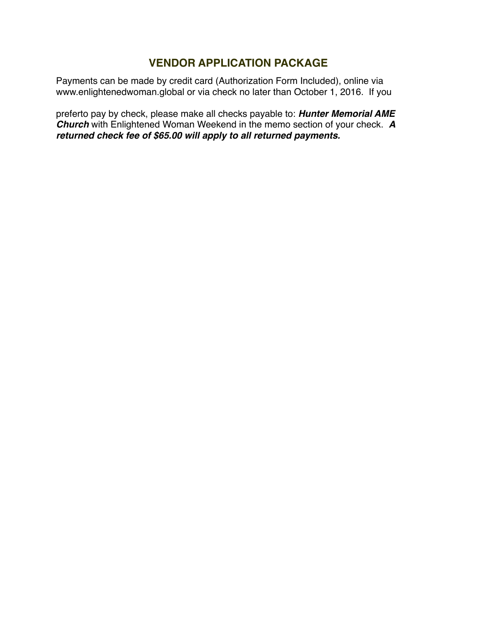#### **VENDOR APPLICATION PACKAGE**

Payments can be made by credit card (Authorization Form Included), online via www.enlightenedwoman.global or via check no later than October 1, 2016. If you

preferto pay by check, please make all checks payable to: *Hunter Memorial AME Church* with Enlightened Woman Weekend in the memo section of your check. *A returned check fee of \$65.00 will apply to all returned payments.*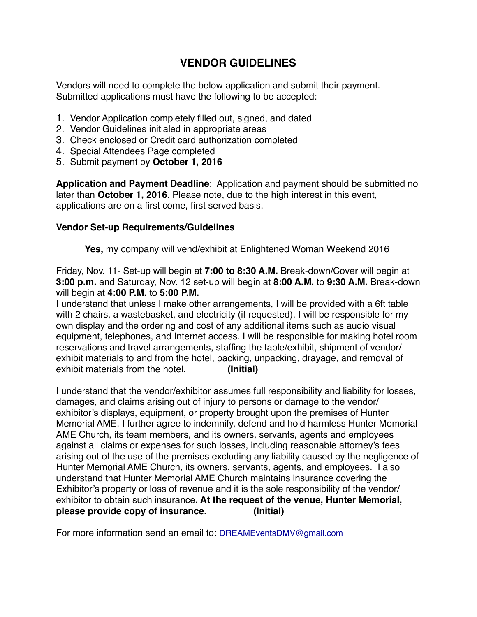#### **VENDOR GUIDELINES**

Vendors will need to complete the below application and submit their payment. Submitted applications must have the following to be accepted:

- 1. Vendor Application completely filled out, signed, and dated
- 2. Vendor Guidelines initialed in appropriate areas
- 3. Check enclosed or Credit card authorization completed
- 4. Special Attendees Page completed
- 5. Submit payment by **October 1, 2016**

**Application and Payment Deadline**: Application and payment should be submitted no later than **October 1, 2016**. Please note, due to the high interest in this event, applications are on a first come, first served basis.

#### **Vendor Set-up Requirements/Guidelines**

Yes, my company will vend/exhibit at Enlightened Woman Weekend 2016

Friday, Nov. 11- Set-up will begin at **7:00 to 8:30 A.M.** Break-down/Cover will begin at **3:00 p.m.** and Saturday, Nov. 12 set-up will begin at **8:00 A.M.** to **9:30 A.M.** Break-down will begin at **4:00 P.M.** to **5:00 P.M.**

I understand that unless I make other arrangements, I will be provided with a 6ft table with 2 chairs, a wastebasket, and electricity (if requested). I will be responsible for my own display and the ordering and cost of any additional items such as audio visual equipment, telephones, and Internet access. I will be responsible for making hotel room reservations and travel arrangements, staffing the table/exhibit, shipment of vendor/ exhibit materials to and from the hotel, packing, unpacking, drayage, and removal of exhibit materials from the hotel. **\_\_\_\_\_\_\_ (Initial)**

I understand that the vendor/exhibitor assumes full responsibility and liability for losses, damages, and claims arising out of injury to persons or damage to the vendor/ exhibitor's displays, equipment, or property brought upon the premises of Hunter Memorial AME. I further agree to indemnify, defend and hold harmless Hunter Memorial AME Church, its team members, and its owners, servants, agents and employees against all claims or expenses for such losses, including reasonable attorney's fees arising out of the use of the premises excluding any liability caused by the negligence of Hunter Memorial AME Church, its owners, servants, agents, and employees. I also understand that Hunter Memorial AME Church maintains insurance covering the Exhibitor's property or loss of revenue and it is the sole responsibility of the vendor/ exhibitor to obtain such insurance**. At the request of the venue, Hunter Memorial, please provide copy of insurance. \_\_\_\_\_\_\_\_ (Initial)**

For more information send an email to: [DREAMEventsDMV@gmail.com](mailto:DREAMEventsDMV@gmail.com)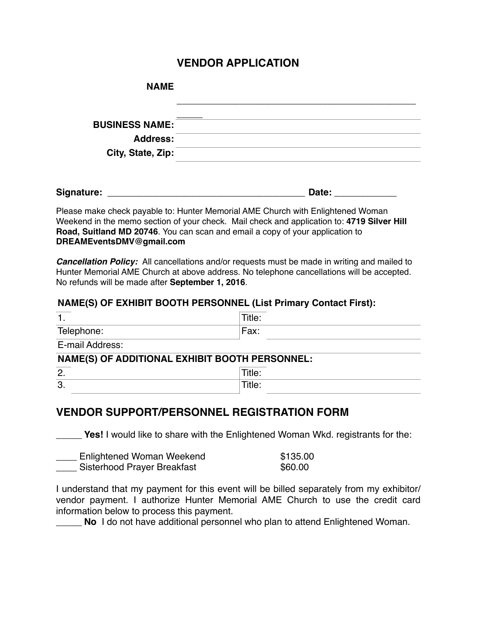#### **VENDOR APPLICATION**

| <b>NAME</b>           |  |
|-----------------------|--|
|                       |  |
| <b>BUSINESS NAME:</b> |  |
| <b>Address:</b>       |  |
| City, State, Zip:     |  |
|                       |  |

| Signature: | oale∴ |  |
|------------|-------|--|
|            |       |  |

Please make check payable to: Hunter Memorial AME Church with Enlightened Woman Weekend in the memo section of your check. Mail check and application to: **4719 Silver Hill Road, Suitland MD 20746**. You can scan and email a copy of your application to **DREAMEventsDMV@gmail.com** 

*Cancellation Policy:*All cancellations and/or requests must be made in writing and mailed to Hunter Memorial AME Church at above address. No telephone cancellations will be accepted. No refunds will be made after **September 1, 2016**.

#### **NAME(S) OF EXHIBIT BOOTH PERSONNEL (List Primary Contact First):**

| . .             | Title: |
|-----------------|--------|
| Telephone:      | Fax:   |
| E-mail Address: |        |

#### **NAME(S) OF ADDITIONAL EXHIBIT BOOTH PERSONNEL:**

| C<br>╭<br><u>.</u> |   |
|--------------------|---|
| c<br>J.            | . |

#### **VENDOR SUPPORT/PERSONNEL REGISTRATION FORM**

**Yes!** I would like to share with the Enlightened Woman Wkd. registrants for the:

| Enlightened Woman Weekend   | \$135.00 |
|-----------------------------|----------|
| Sisterhood Prayer Breakfast | \$60.00  |

I understand that my payment for this event will be billed separately from my exhibitor/ vendor payment. I authorize Hunter Memorial AME Church to use the credit card information below to process this payment.

**No** I do not have additional personnel who plan to attend Enlightened Woman.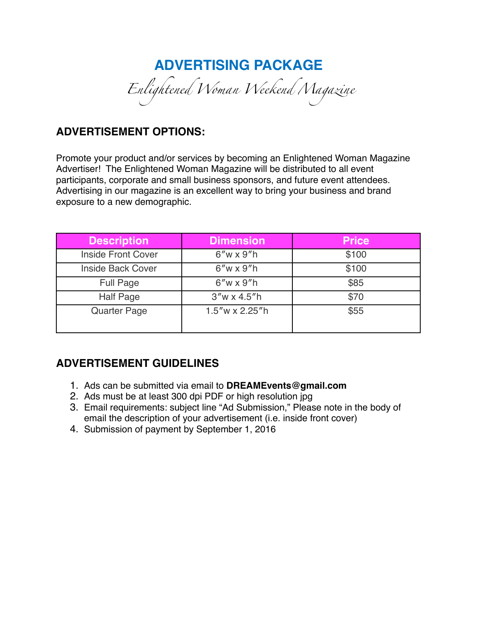# **ADVERTISING PACKAGE**  *Enlightened Woman Weekend Magazine*

#### **ADVERTISEMENT OPTIONS:**

Promote your product and/or services by becoming an Enlightened Woman Magazine Advertiser! The Enlightened Woman Magazine will be distributed to all event participants, corporate and small business sponsors, and future event attendees. Advertising in our magazine is an excellent way to bring your business and brand exposure to a new demographic.

| <b>Description</b>        | <b>Dimension</b>     | <b>Price</b> |
|---------------------------|----------------------|--------------|
| <b>Inside Front Cover</b> | $6''w \times 9''h$   | \$100        |
| <b>Inside Back Cover</b>  | $6''w \times 9''h$   | \$100        |
| <b>Full Page</b>          | $6''w \times 9''h$   | \$85         |
| <b>Half Page</b>          | $3''w \times 4.5''h$ | \$70         |
| <b>Quarter Page</b>       | $1.5''$ w x 2.25"h   | \$55         |

### **ADVERTISEMENT GUIDELINES**

- 1. Ads can be submitted via email to **DREAMEvents@gmail.com**
- 2. Ads must be at least 300 dpi PDF or high resolution jpg
- 3. Email requirements: subject line "Ad Submission," Please note in the body of email the description of your advertisement (i.e. inside front cover)
- 4. Submission of payment by September 1, 2016